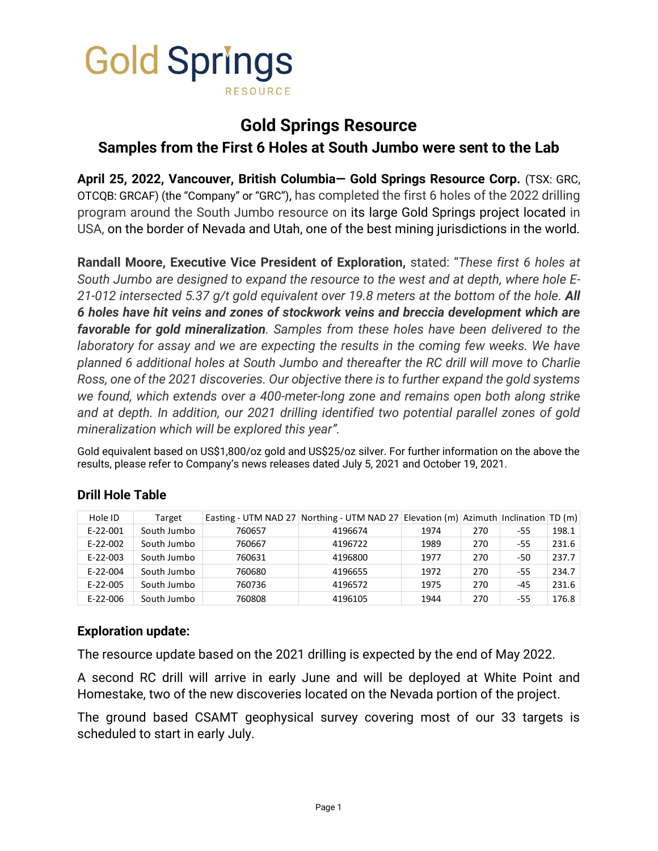

# **Gold Springs Resource**

# **Samples from the First 6 Holes at South Jumbo were sent to the Lab**

**April 25, 2022, Vancouver, British Columbia— Gold Springs Resource Corp.** (TSX: GRC, OTCQB: GRCAF) (the "Company" or "GRC"), has completed the first 6 holes of the 2022 drilling program around the South Jumbo resource on its large Gold Springs project located in USA, on the border of Nevada and Utah, one of the best mining jurisdictions in the world.

**Randall Moore, Executive Vice President of Exploration,** stated: "*These first 6 holes at South Jumbo are designed to expand the resource to the west and at depth, where hole E-21-012 intersected 5.37 g/t gold equivalent over 19.8 meters at the bottom of the hole. All 6 holes have hit veins and zones of stockwork veins and breccia development which are favorable for gold mineralization. Samples from these holes have been delivered to the laboratory for assay and we are expecting the results in the coming few weeks. We have planned 6 additional holes at South Jumbo and thereafter the RC drill will move to Charlie Ross, one of the 2021 discoveries. Our objective there is to further expand the gold systems we found, which extends over a 400-meter-long zone and remains open both along strike and at depth. In addition, our 2021 drilling identified two potential parallel zones of gold mineralization which will be explored this year".*

Gold equivalent based on US\$1,800/oz gold and US\$25/oz silver. For further information on the above the results, please refer to Company's news releases dated July 5, 2021 and October 19, 2021.

| Hole ID        | Target      |        | Easting - UTM NAD 27 Northing - UTM NAD 27 Elevation (m) Azimuth Inclination TD (m) |      |     |       |       |
|----------------|-------------|--------|-------------------------------------------------------------------------------------|------|-----|-------|-------|
| $E-22-001$     | South Jumbo | 760657 | 4196674                                                                             | 1974 | 270 | -55   | 198.1 |
| $E-22-002$     | South Jumbo | 760667 | 4196722                                                                             | 1989 | 270 | $-55$ | 231.6 |
| $E-22-003$     | South Jumbo | 760631 | 4196800                                                                             | 1977 | 270 | -50   | 237.7 |
| $E - 22 - 004$ | South Jumbo | 760680 | 4196655                                                                             | 1972 | 270 | $-55$ | 234.7 |
| $E-22-005$     | South Jumbo | 760736 | 4196572                                                                             | 1975 | 270 | $-45$ | 231.6 |
| $E-22-006$     | South Jumbo | 760808 | 4196105                                                                             | 1944 | 270 | -55   | 176.8 |

## **Drill Hole Table**

## **Exploration update:**

The resource update based on the 2021 drilling is expected by the end of May 2022.

A second RC drill will arrive in early June and will be deployed at White Point and Homestake, two of the new discoveries located on the Nevada portion of the project.

The ground based CSAMT geophysical survey covering most of our 33 targets is scheduled to start in early July.